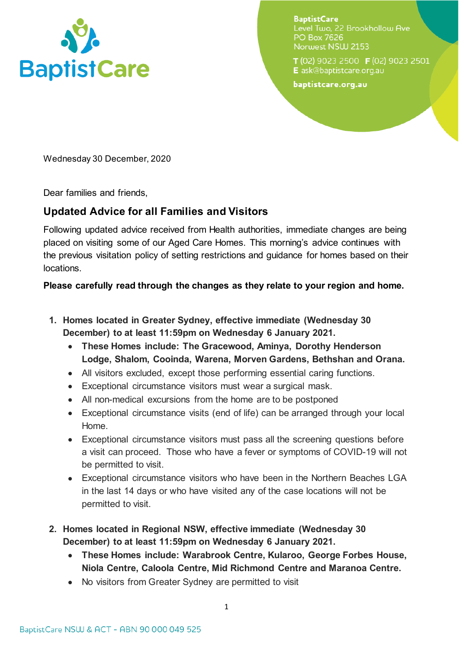

**BaptistCare** Level Two. 22 Brookhollow Ave **PO Box 7626** Norwest NSW 2153

 $T(02)$  9023 2500  $F(02)$  9023 2501 E ask@baptistcare.org.au

baptistcare.org.au

Wednesday 30 December, 2020

Dear families and friends,

## **Updated Advice for all Families and Visitors**

Following updated advice received from Health authorities, immediate changes are being placed on visiting some of our Aged Care Homes. This morning's advice continues with the previous visitation policy of setting restrictions and guidance for homes based on their locations.

## **Please carefully read through the changes as they relate to your region and home.**

- **1. Homes located in Greater Sydney, effective immediate (Wednesday 30 December) to at least 11:59pm on Wednesday 6 January 2021.** 
	- **These Homes include: The Gracewood, Aminya, Dorothy Henderson Lodge, Shalom, Cooinda, Warena, Morven Gardens, Bethshan and Orana.**
	- All visitors excluded, except those performing essential caring functions.
	- Exceptional circumstance visitors must wear a surgical mask.
	- All non-medical excursions from the home are to be postponed
	- Exceptional circumstance visits (end of life) can be arranged through your local Home.
	- Exceptional circumstance visitors must pass all the screening questions before a visit can proceed. Those who have a fever or symptoms of COVID-19 will not be permitted to visit.
	- Exceptional circumstance visitors who have been in the Northern Beaches LGA in the last 14 days or who have visited any of the case locations will not be permitted to visit.
- **2. Homes located in Regional NSW, effective immediate (Wednesday 30 December) to at least 11:59pm on Wednesday 6 January 2021.** 
	- **These Homes include: Warabrook Centre, Kularoo, George Forbes House, Niola Centre, Caloola Centre, Mid Richmond Centre and Maranoa Centre.**
	- No visitors from Greater Sydney are permitted to visit